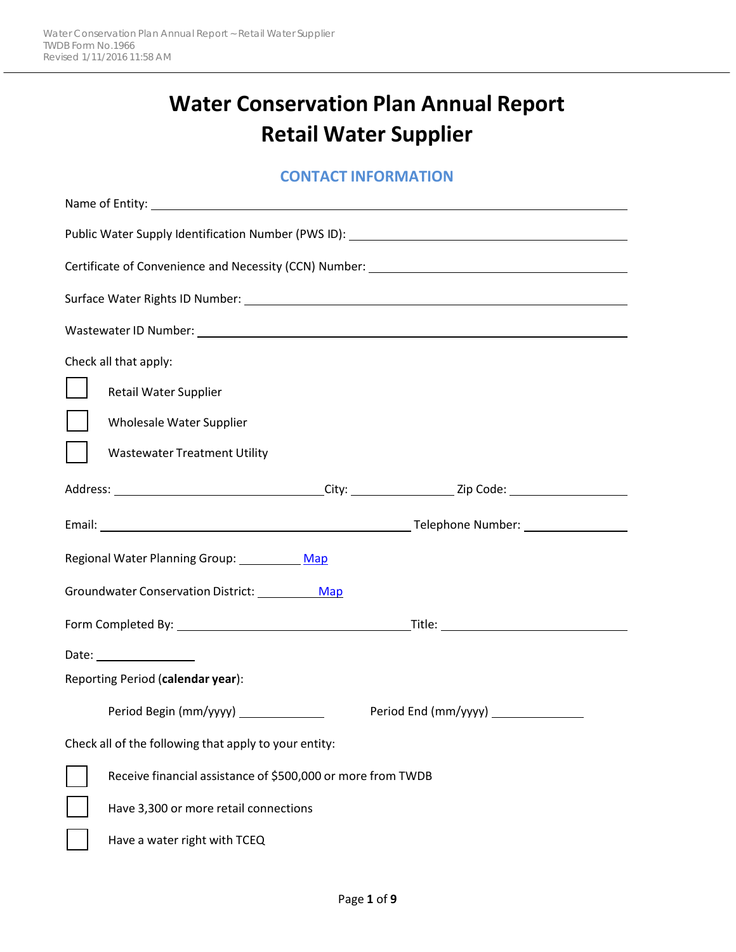# **Water Conservation Plan Annual Report Retail Water Supplier**

#### **CONTACT INFORMATION**

| Certificate of Convenience and Necessity (CCN) Number: __________________________ |  |  |  |
|-----------------------------------------------------------------------------------|--|--|--|
|                                                                                   |  |  |  |
|                                                                                   |  |  |  |
| Check all that apply:                                                             |  |  |  |
| Retail Water Supplier                                                             |  |  |  |
| Wholesale Water Supplier                                                          |  |  |  |
| <b>Wastewater Treatment Utility</b>                                               |  |  |  |
|                                                                                   |  |  |  |
|                                                                                   |  |  |  |
| Regional Water Planning Group: Map                                                |  |  |  |
| Groundwater Conservation District: Map                                            |  |  |  |
|                                                                                   |  |  |  |
| Date: __________________                                                          |  |  |  |
| Reporting Period (calendar year):                                                 |  |  |  |
| Period Begin (mm/yyyy) _____________                                              |  |  |  |
| Check all of the following that apply to your entity:                             |  |  |  |
| Receive financial assistance of \$500,000 or more from TWDB                       |  |  |  |
| Have 3,300 or more retail connections                                             |  |  |  |
| Have a water right with TCEQ                                                      |  |  |  |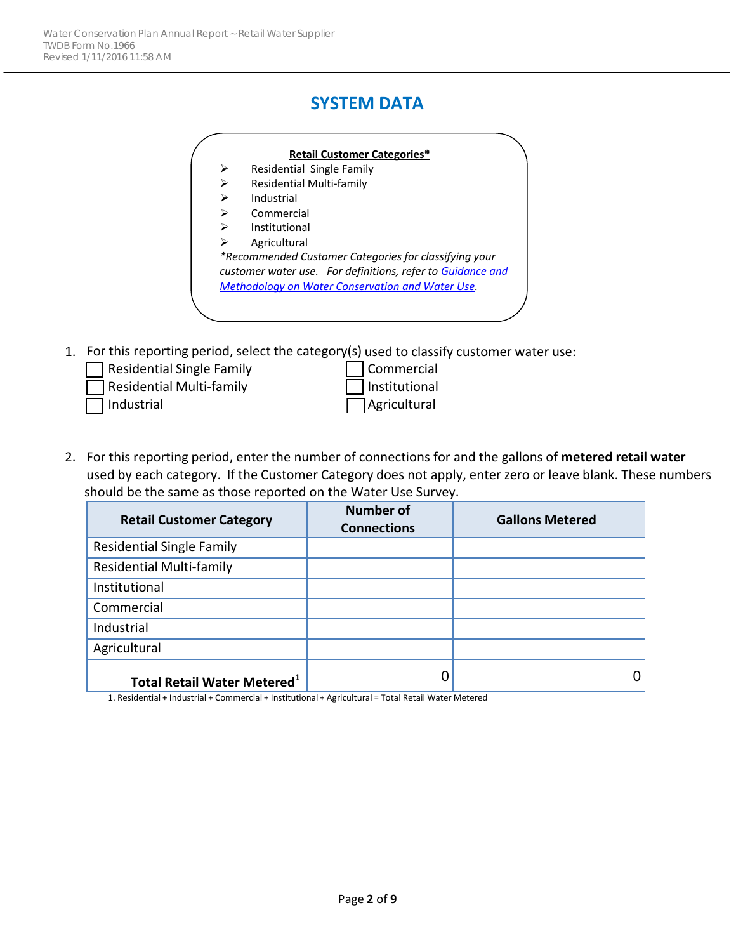### **SYSTEM DATA**



1. For this reporting period, select the category(s) used to classify customer water use:

| Residential Single Family | Commercial           |
|---------------------------|----------------------|
| Residential Multi-family  | <b>Institutional</b> |
| l Industrial              | $\Box$ Agricultural  |

2. For this reporting period, enter the number of connections for and the gallons of **metered retail water** used by each category. If the Customer Category does not apply, enter zero or leave blank. These numbers should be the same as those reported on the Water Use Survey.

| <b>Retail Customer Category</b>                | <b>Number of</b><br><b>Connections</b> | <b>Gallons Metered</b> |
|------------------------------------------------|----------------------------------------|------------------------|
| <b>Residential Single Family</b>               |                                        |                        |
| <b>Residential Multi-family</b>                |                                        |                        |
| Institutional                                  |                                        |                        |
| Commercial                                     |                                        |                        |
| Industrial                                     |                                        |                        |
| Agricultural                                   |                                        |                        |
| <b>Total Retail Water Metered</b> <sup>1</sup> | IJ                                     |                        |

1. Residential + Industrial + Commercial + Institutional + Agricultural = Total Retail Water Metered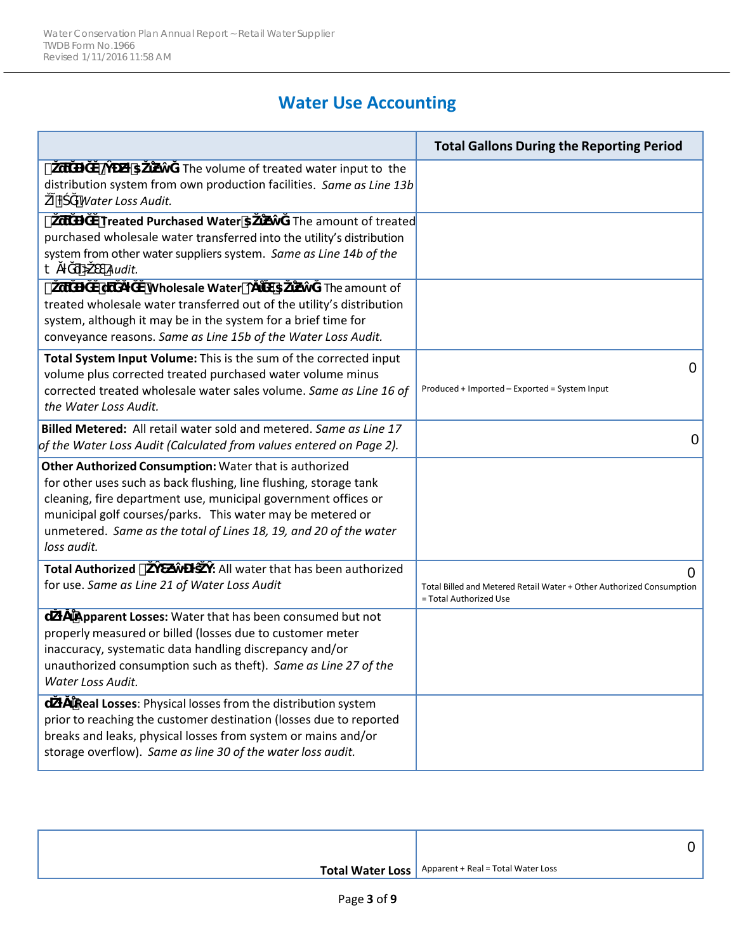## **Water Use Accounting**

|                                                                                                                                                                                                                                                                                                                                                 | <b>Total Gallons During the Reporting Period</b>                                                    |
|-------------------------------------------------------------------------------------------------------------------------------------------------------------------------------------------------------------------------------------------------------------------------------------------------------------------------------------------------|-----------------------------------------------------------------------------------------------------|
| $\#$<br>`@<br>Ŧ.<br>: The volume of treated water input to the<br>distribution system from own production facilities. Same as Line 13b<br>Water Loss Audit.                                                                                                                                                                                     |                                                                                                     |
| $^{\#}$<br><b>Treated Purchased Water 1</b><br>: The amount of treated<br>purchased wholesale water transferred into the utility's distribution<br>system from other water suppliers system. Same as Line 14b of the<br>Audit.<br>O<br>‡                                                                                                        |                                                                                                     |
| #<br>Wholesale Water O<br>ัน<br>Τ<br>: The amount of<br>treated wholesale water transferred out of the utility's distribution<br>system, although it may be in the system for a brief time for<br>conveyance reasons. Same as Line 15b of the Water Loss Audit.                                                                                 |                                                                                                     |
| Total System Input Volume: This is the sum of the corrected input<br>volume plus corrected treated purchased water volume minus<br>corrected treated wholesale water sales volume. Same as Line 16 of<br>the Water Loss Audit.                                                                                                                  | 0<br>Produced + Imported - Exported = System Input                                                  |
| Billed Metered: All retail water sold and metered. Same as Line 17<br>of the Water Loss Audit (Calculated from values entered on Page 2).                                                                                                                                                                                                       | 0                                                                                                   |
| Other Authorized Consumption: Water that is authorized<br>for other uses such as back flushing, line flushing, storage tank<br>cleaning, fire department use, municipal government offices or<br>municipal golf courses/parks. This water may be metered or<br>unmetered. Same as the total of Lines 18, 19, and 20 of the water<br>loss audit. |                                                                                                     |
| <b>Total Authorized #</b><br>: All water that has been authorized<br>for use. Same as Line 21 of Water Loss Audit                                                                                                                                                                                                                               | 0<br>Total Billed and Metered Retail Water + Other Authorized Consumption<br>= Total Authorized Use |
| Apparent Losses: Water that has been consumed but not<br>u<br>properly measured or billed (losses due to customer meter<br>inaccuracy, systematic data handling discrepancy and/or<br>unauthorized consumption such as theft). Same as Line 27 of the<br>Water Loss Audit.                                                                      |                                                                                                     |
| Real Losses: Physical losses from the distribution system<br>u<br>prior to reaching the customer destination (losses due to reported<br>breaks and leaks, physical losses from system or mains and/or<br>storage overflow). Same as line 30 of the water loss audit.                                                                            |                                                                                                     |

| <b>Total Water Loss</b>   Apparent + Real = Total Water Loss |
|--------------------------------------------------------------|
|                                                              |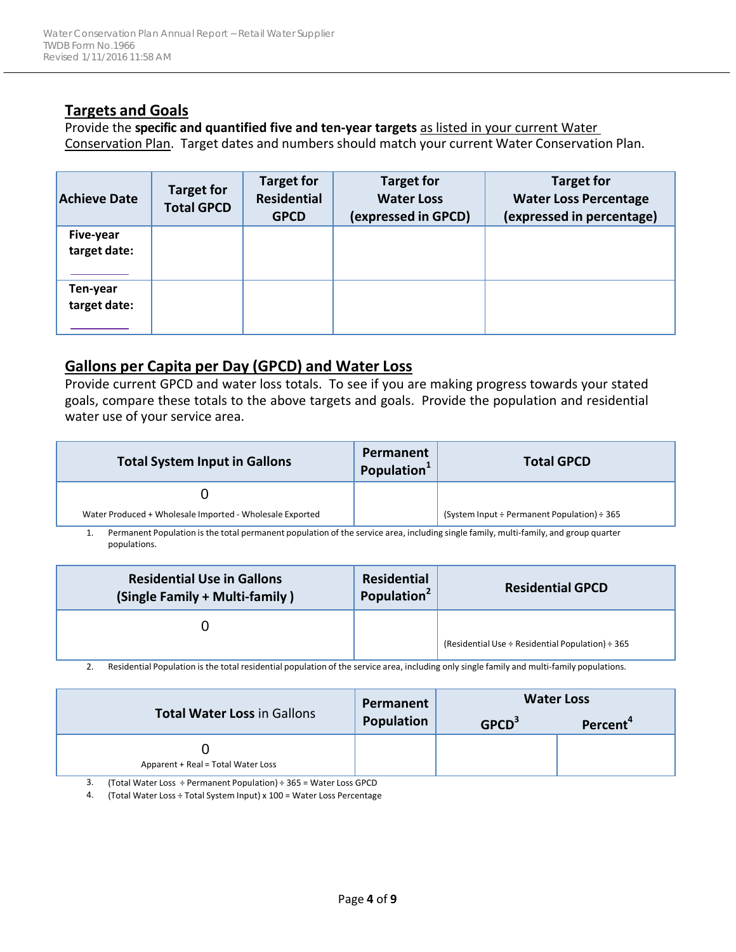#### **Targets and Goals**

Provide the **specific and quantified five and ten-year targets** as listed in your current Water Conservation Plan. Target dates and numbers should match your current Water Conservation Plan.

| <b>Achieve Date</b>       | <b>Target for</b><br><b>Total GPCD</b> | <b>Target for</b><br><b>Residential</b><br><b>GPCD</b> | <b>Target for</b><br><b>Water Loss</b><br>(expressed in GPCD) | <b>Target for</b><br><b>Water Loss Percentage</b><br>(expressed in percentage) |
|---------------------------|----------------------------------------|--------------------------------------------------------|---------------------------------------------------------------|--------------------------------------------------------------------------------|
| Five-year<br>target date: |                                        |                                                        |                                                               |                                                                                |
| Ten-year<br>target date:  |                                        |                                                        |                                                               |                                                                                |

#### **Gallons per Capita per Day (GPCD) and Water Loss**

Provide current GPCD and water loss totals. To see if you are making progress towards your stated goals, compare these totals to the above targets and goals. Provide the population and residential water use of your service area.

| <b>Total System Input in Gallons</b>                                                                                              | Permanent<br>Population <sup>1</sup> | <b>Total GPCD</b>                                     |
|-----------------------------------------------------------------------------------------------------------------------------------|--------------------------------------|-------------------------------------------------------|
|                                                                                                                                   |                                      |                                                       |
| Water Produced + Wholesale Imported - Wholesale Exported                                                                          |                                      | (System Input $\div$ Permanent Population) $\div$ 365 |
| - Nama a ami Namilaita italia inizi mama a ana a amilaita a fila a amila ana ta dhulla ata dha familit familit anal anama ama ana |                                      |                                                       |

1. Permanent Population is the total permanent population of the service area, including single family, multi-family, and group quarter populations.

| <b>Residential Use in Gallons</b><br>(Single Family + Multi-family) | Residential<br>Population <sup>2</sup> | <b>Residential GPCD</b>                                    |
|---------------------------------------------------------------------|----------------------------------------|------------------------------------------------------------|
|                                                                     |                                        | (Residential Use $\div$ Residential Population) $\div$ 365 |

2. Residential Population is the total residential population of the service area, including only single family and multi-family populations.

|                                    | Permanent<br>Population | <b>Water Loss</b> |                      |  |
|------------------------------------|-------------------------|-------------------|----------------------|--|
| <b>Total Water Loss in Gallons</b> |                         | GPCD <sup>3</sup> | Percent <sup>4</sup> |  |
| Apparent + Real = Total Water Loss |                         |                   |                      |  |

3. (Total Water Loss ÷ Permanent Population) ÷ 365 = Water Loss GPCD

4. (Total Water Loss ÷ Total System Input) x 100 = Water Loss Percentage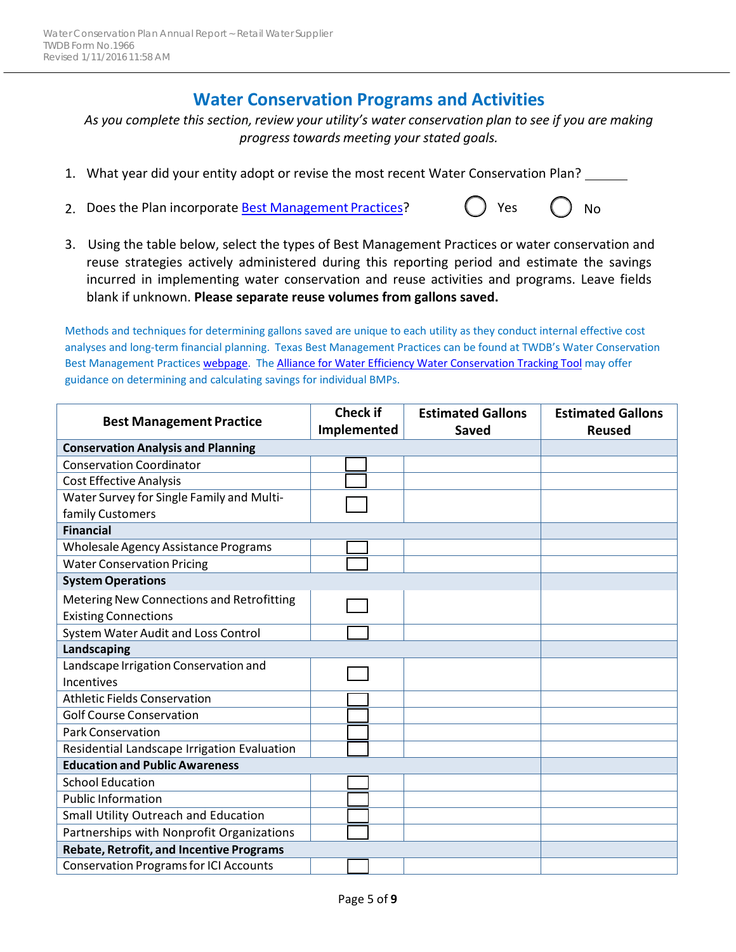#### **Water Conservation Programs and Activities**

*As you complete this section, review your utility's water conservation plan to see if you are making progress towards meeting your stated goals.*

- 1. What year did your entity adopt or revise the most recent Water Conservation Plan?
- 2. Does the Plan incorporate **Best Management Practices**? (Case  $\begin{pmatrix} 0 & 0 \\ 0 & 0 \end{pmatrix}$  No
- 3. Using the table below, select the types of Best Management Practices or water conservation and reuse strategies actively administered during this reporting period and estimate the savings incurred in implementing water conservation and reuse activities and programs. Leave fields blank if unknown. **Please separate reuse volumes from gallons saved.**

Methods and techniques for determining gallons saved are unique to each utility as they conduct internal effective cost analyses and long-term financial planning. Texas Best Management Practices can be found at TWDB's Water Conservation Best Management Practices [webpage. T](http://www.twdb.texas.gov/conservation/BMPs/index.asp)h[e Alliance for Water Efficiency Water Conservation Tracking Tool m](http://www.allianceforwaterefficiency.org/Tracking-Tool.aspx)ay offer guidance on determining and calculating savings for individual BMPs.

|                                                 | <b>Check if</b> | <b>Estimated Gallons</b> | <b>Estimated Gallons</b> |
|-------------------------------------------------|-----------------|--------------------------|--------------------------|
| <b>Best Management Practice</b>                 | Implemented     | <b>Saved</b>             | <b>Reused</b>            |
| <b>Conservation Analysis and Planning</b>       |                 |                          |                          |
| <b>Conservation Coordinator</b>                 |                 |                          |                          |
| <b>Cost Effective Analysis</b>                  |                 |                          |                          |
| Water Survey for Single Family and Multi-       |                 |                          |                          |
| family Customers                                |                 |                          |                          |
| <b>Financial</b>                                |                 |                          |                          |
| Wholesale Agency Assistance Programs            |                 |                          |                          |
| <b>Water Conservation Pricing</b>               |                 |                          |                          |
| <b>System Operations</b>                        |                 |                          |                          |
| Metering New Connections and Retrofitting       |                 |                          |                          |
| <b>Existing Connections</b>                     |                 |                          |                          |
| System Water Audit and Loss Control             |                 |                          |                          |
| Landscaping                                     |                 |                          |                          |
| Landscape Irrigation Conservation and           |                 |                          |                          |
| Incentives                                      |                 |                          |                          |
| <b>Athletic Fields Conservation</b>             |                 |                          |                          |
| <b>Golf Course Conservation</b>                 |                 |                          |                          |
| <b>Park Conservation</b>                        |                 |                          |                          |
| Residential Landscape Irrigation Evaluation     |                 |                          |                          |
| <b>Education and Public Awareness</b>           |                 |                          |                          |
| <b>School Education</b>                         |                 |                          |                          |
| <b>Public Information</b>                       |                 |                          |                          |
| Small Utility Outreach and Education            |                 |                          |                          |
| Partnerships with Nonprofit Organizations       |                 |                          |                          |
| <b>Rebate, Retrofit, and Incentive Programs</b> |                 |                          |                          |
| <b>Conservation Programs for ICI Accounts</b>   |                 |                          |                          |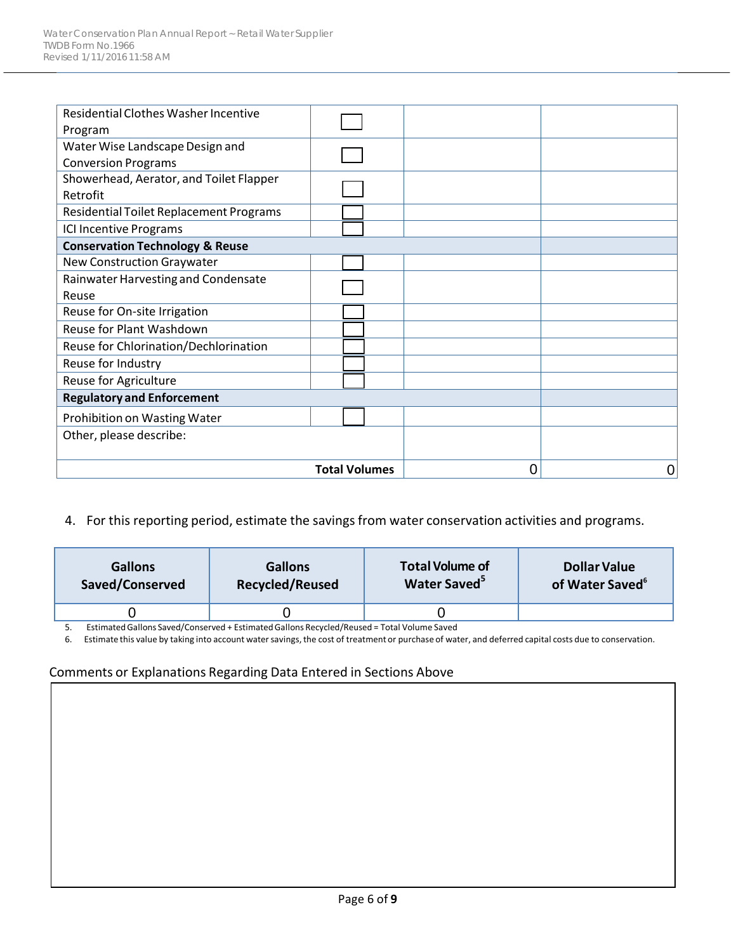| Residential Clothes Washer Incentive       |                      |   |   |
|--------------------------------------------|----------------------|---|---|
| Program                                    |                      |   |   |
| Water Wise Landscape Design and            |                      |   |   |
| <b>Conversion Programs</b>                 |                      |   |   |
| Showerhead, Aerator, and Toilet Flapper    |                      |   |   |
| Retrofit                                   |                      |   |   |
| Residential Toilet Replacement Programs    |                      |   |   |
| <b>ICI Incentive Programs</b>              |                      |   |   |
| <b>Conservation Technology &amp; Reuse</b> |                      |   |   |
| New Construction Graywater                 |                      |   |   |
| Rainwater Harvesting and Condensate        |                      |   |   |
| Reuse                                      |                      |   |   |
| Reuse for On-site Irrigation               |                      |   |   |
| Reuse for Plant Washdown                   |                      |   |   |
| Reuse for Chlorination/Dechlorination      |                      |   |   |
| Reuse for Industry                         |                      |   |   |
| Reuse for Agriculture                      |                      |   |   |
| <b>Regulatory and Enforcement</b>          |                      |   |   |
| Prohibition on Wasting Water               |                      |   |   |
| Other, please describe:                    |                      |   |   |
|                                            |                      |   |   |
|                                            | <b>Total Volumes</b> | 0 | 0 |

#### 4. For this reporting period, estimate the savings from water conservation activities and programs.

| <b>Gallons</b>  | <b>Gallons</b>         | <b>Total Volume of</b>   | <b>Dollar Value</b>         |
|-----------------|------------------------|--------------------------|-----------------------------|
| Saved/Conserved | <b>Recycled/Reused</b> | Water Saved <sup>5</sup> | of Water Saved <sup>6</sup> |
|                 |                        |                          |                             |

5. Estimated Gallons Saved/Conserved + Estimated Gallons Recycled/Reused = Total Volume Saved<br>6. Estimate this value by taking into account water savings, the cost of treatment or purchase of wat

6. Estimate this value by taking into account water savings, the cost of treatment or purchase of water, and deferred capital costs due to conservation.

#### Comments or Explanations Regarding Data Entered in Sections Above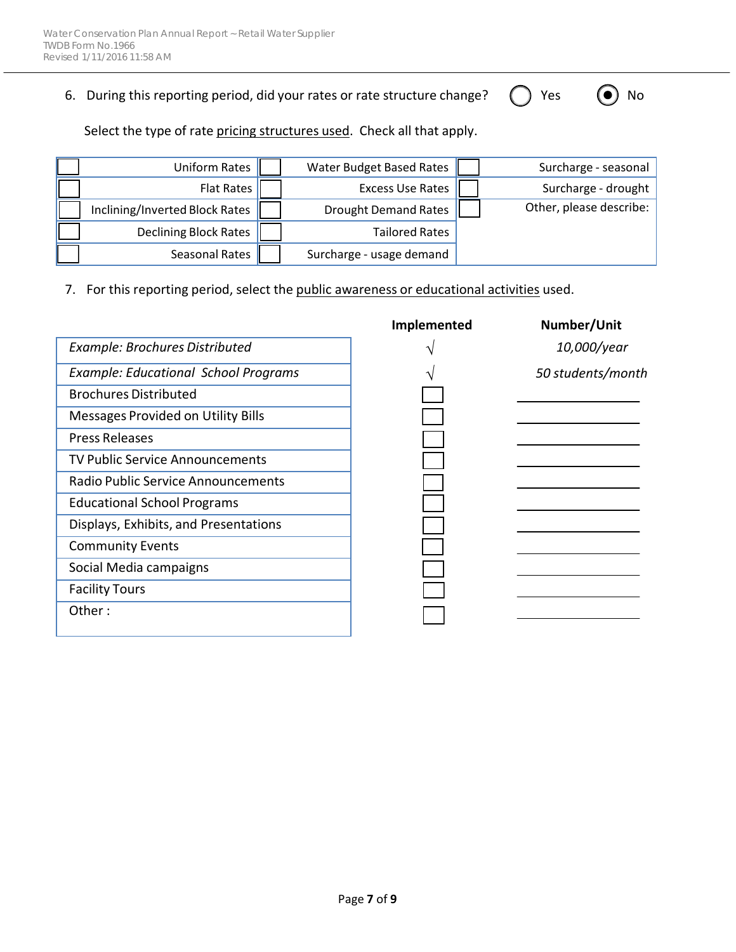6. During this reporting period, did your rates or rate structure change?  $\bigcap$  Yes  $\bigcirc$  No

Select the type of rate pricing structures used. Check all that apply.

| Uniform Rates                  | Water Budget Based Rates    | Surcharge - seasonal    |
|--------------------------------|-----------------------------|-------------------------|
| <b>Flat Rates</b>              | <b>Excess Use Rates</b>     | Surcharge - drought     |
| Inclining/Inverted Block Rates | <b>Drought Demand Rates</b> | Other, please describe: |
| <b>Declining Block Rates</b>   | <b>Tailored Rates</b>       |                         |
| Seasonal Rates                 | Surcharge - usage demand    |                         |

7. For this reporting period, select the public awareness or educational activities used.

|                                             | Implemented | Number/Unit       |
|---------------------------------------------|-------------|-------------------|
| Example: Brochures Distributed              |             | 10,000/year       |
| <b>Example: Educational School Programs</b> |             | 50 students/month |
| <b>Brochures Distributed</b>                |             |                   |
| Messages Provided on Utility Bills          |             |                   |
| <b>Press Releases</b>                       |             |                   |
| <b>TV Public Service Announcements</b>      |             |                   |
| Radio Public Service Announcements          |             |                   |
| <b>Educational School Programs</b>          |             |                   |
| Displays, Exhibits, and Presentations       |             |                   |
| <b>Community Events</b>                     |             |                   |
| Social Media campaigns                      |             |                   |
| <b>Facility Tours</b>                       |             |                   |
| Other:                                      |             |                   |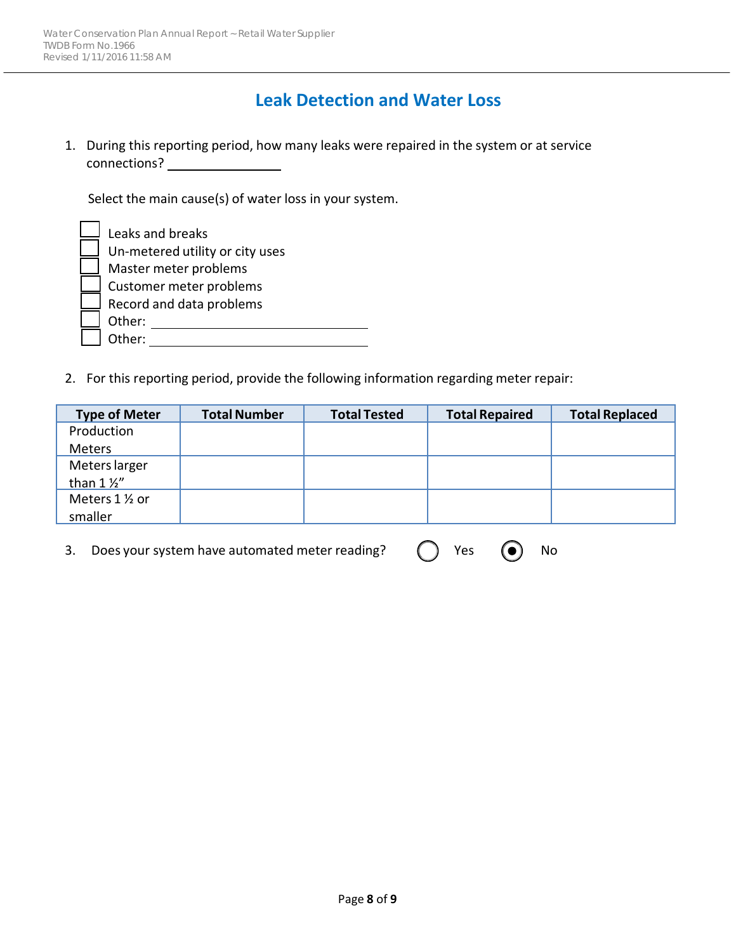#### **Leak Detection and Water Loss**

1. During this reporting period, how many leaks were repaired in the system or at service connections?

Select the main cause(s) of water loss in your system.

| Leaks and breaks                |
|---------------------------------|
| Un-metered utility or city uses |
| Master meter problems           |
| Customer meter problems         |
| Record and data problems        |
| Other:                          |
| Other:                          |

2. For this reporting period, provide the following information regarding meter repair:

| <b>Type of Meter</b> | <b>Total Number</b> | <b>Total Tested</b> | <b>Total Repaired</b> | <b>Total Replaced</b> |
|----------------------|---------------------|---------------------|-----------------------|-----------------------|
| Production           |                     |                     |                       |                       |
| Meters               |                     |                     |                       |                       |
| Meters larger        |                     |                     |                       |                       |
| than $1\frac{1}{2}$  |                     |                     |                       |                       |
| Meters 1 1/2 or      |                     |                     |                       |                       |
| smaller              |                     |                     |                       |                       |

3. Does your system have automated meter reading?  $\bigcap$  Yes  $\bigcirc$  No